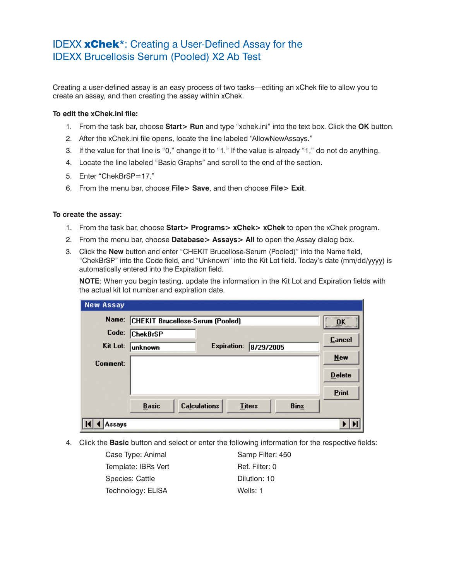## IDEXX xChek\*: Creating a User-Defined Assay for the IDEXX Brucellosis Serum (Pooled) X2 Ab Test

Creating a user-defined assay is an easy process of two tasks—editing an xChek file to allow you to create an assay, and then creating the assay within xChek.

## **To edit the xChek.ini file:**

- 1. From the task bar, choose **Start> Run** and type "xchek.ini" into the text box. Click the **OK** button.
- 2. After the xChek.ini file opens, locate the line labeled "AllowNewAssays."
- 3. If the value for that line is "0," change it to "1." If the value is already "1," do not do anything.
- 4. Locate the line labeled "Basic Graphs" and scroll to the end of the section.
- 5. Enter "ChekBrSP=17."
- 6. From the menu bar, choose **File> Save**, and then choose **File> Exit**.

## **To create the assay:**

- 1. From the task bar, choose **Start> Programs> xChek> xChek** to open the xChek program.
- 2. From the menu bar, choose **Database> Assays> All** to open the Assay dialog box.
- 3. Click the **New** button and enter "CHEKIT Brucellose-Serum (Pooled)" into the Name field, "ChekBrSP" into the Code field, and "Unknown" into the Kit Lot field. Today's date (mm/dd/yyyy) is automatically entered into the Expiration field.

**NOTE:** When you begin testing, update the information in the Kit Lot and Expiration fields with the actual kit lot number and expiration date.

| <b>New Assay</b> |                                                                     |               |
|------------------|---------------------------------------------------------------------|---------------|
| Name:            | CHEKIT Brucellose-Serum (Pooled)                                    | <br>OK        |
| Code:            | <b>ChekBrSP</b>                                                     | <b>Cancel</b> |
| Kit Lot:         | <b>Expiration:</b><br>8/29/2005<br>unknown                          |               |
| Comment:         |                                                                     | $New$         |
|                  |                                                                     | <b>Delete</b> |
|                  |                                                                     | Print         |
|                  | <b>Calculations</b><br><b>Bins</b><br><b>Basic</b><br><b>Titers</b> |               |
| Assays           |                                                                     |               |

4. Click the **Basic** button and select or enter the following information for the respective fields:

| Case Type: Animal   | Samp Filter: 450 |
|---------------------|------------------|
| Template: IBRs Vert | Ref. Filter: 0   |
| Species: Cattle     | Dilution: 10     |
| Technology: ELISA   | Wells: 1         |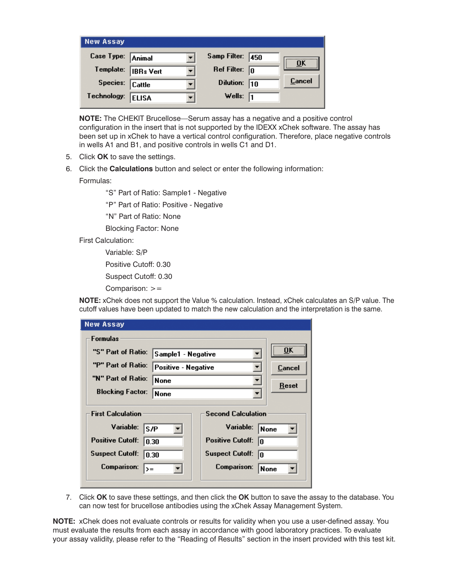| <b>New Assay</b>  |                  |                         |        |
|-------------------|------------------|-------------------------|--------|
| Case Type: Animal |                  | Samp Filter: 450        |        |
| Template:         | <b>IBRs</b> Vert | Ref Filter: $\boxed{0}$ |        |
| Species:          | <b>Cattle</b>    | Dilution: $\boxed{10}$  | Cancel |
| Technology:       | <b>ELISA</b>     | Wells: $\sqrt{1}$       |        |

**NOTE:** The CHEKIT Brucellose—Serum assay has a negative and a positive control configuration in the insert that is not supported by the IDEXX xChek software. The assay has been set up in xChek to have a vertical control configuration. Therefore, place negative controls in wells A1 and B1, and positive controls in wells C1 and D1.

- 5. Click **OK** to save the settings.
- 6. Click the **Calculations** button and select or enter the following information: Formulas:

"S" Part of Ratio: Sample1 - Negative

"P" Part of Ratio: Positive - Negative

"N" Part of Ratio: None

Blocking Factor: None

First Calculation:

Variable: S/P

Positive Cutoff: 0.30

Suspect Cutoff: 0.30

Comparison: >=

**NOTE:** xChek does not support the Value % calculation. Instead, xChek calculates an S/P value. The cutoff values have been updated to match the new calculation and the interpretation is the same.

| <b>New Assay</b>                             |                     |                                        |        |  |  |  |  |
|----------------------------------------------|---------------------|----------------------------------------|--------|--|--|--|--|
| <b>Formulas</b>                              |                     |                                        |        |  |  |  |  |
| "S" Part of Ratio:                           | Sample1 - Negative  |                                        |        |  |  |  |  |
| "P" Part of Ratio:                           | Positive - Negative |                                        | Cancel |  |  |  |  |
| "N" Part of Ratio:                           | None                |                                        | Reset  |  |  |  |  |
| <b>Blocking Factor:</b>                      | <b>None</b>         |                                        |        |  |  |  |  |
| <b>First Calculation</b><br>Variable:<br>S/P |                     | <b>Second Calculation</b><br>Variable: | None   |  |  |  |  |
| <b>Positive Cutoff:</b><br>  0.30            |                     | <b>Positive Cutoff:</b><br>10          |        |  |  |  |  |
| <b>Suspect Cutoff:</b><br>10.30              |                     | <b>Suspect Cutoff:</b><br>10           |        |  |  |  |  |
| Comparison:<br>$\rightarrow$                 |                     | Comparison:                            | None   |  |  |  |  |
|                                              |                     |                                        |        |  |  |  |  |

7. Click **OK** to save these settings, and then click the **OK** button to save the assay to the database. You can now test for brucellose antibodies using the xChek Assay Management System.

**NOTE:** xChek does not evaluate controls or results for validity when you use a user-defined assay. You must evaluate the results from each assay in accordance with good laboratory practices. To evaluate your assay validity, please refer to the "Reading of Results" section in the insert provided with this test kit.